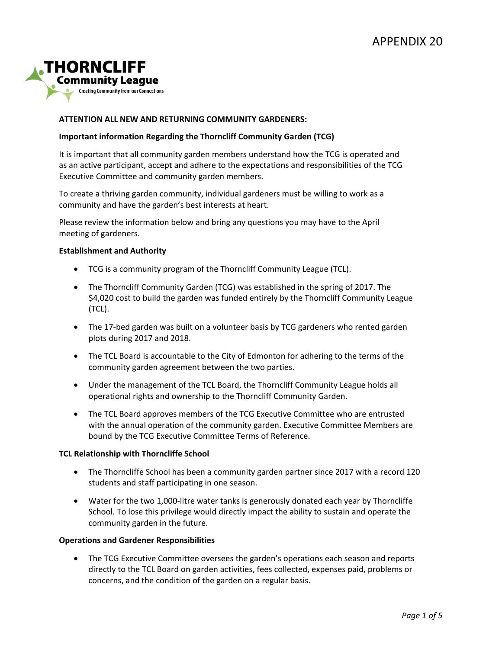

# **ATTENTION ALL NEW AND RETURNING COMMUNITY GARDENERS:**

## **Important information Regarding the Thorncliff Community Garden (TCG)**

It is important that all community garden members understand how the TCG is operated and as an active participant, accept and adhere to the expectations and responsibilities of the TCG Executive Committee and community garden members.

To create a thriving garden community, individual gardeners must be willing to work as a community and have the garden's best interests at heart.

Please review the information below and bring any questions you may have to the April meeting of gardeners.

## **Establishment and Authority**

- TCG is a community program of the Thorncliff Community League (TCL).
- The Thorncliff Community Garden (TCG) was established in the spring of 2017. The \$4,020 cost to build the garden was funded entirely by the Thorncliff Community League (TCL).
- The 17-bed garden was built on a volunteer basis by TCG gardeners who rented garden plots during 2017 and 2018.
- The TCL Board is accountable to the City of Edmonton for adhering to the terms of the community garden agreement between the two parties.
- Under the management of the TCL Board, the Thorncliff Community League holds all operational rights and ownership to the Thorncliff Community Garden.
- The TCL Board approves members of the TCG Executive Committee who are entrusted with the annual operation of the community garden. Executive Committee Members are bound by the TCG Executive Committee Terms of Reference.

## **TCL Relationship with Thorncliffe School**

- The Thorncliffe School has been a community garden partner since 2017 with a record 120 students and staff participating in one season.
- Water for the two 1,000-litre water tanks is generously donated each year by Thorncliffe School. To lose this privilege would directly impact the ability to sustain and operate the community garden in the future.

## **Operations and Gardener Responsibilities**

• The TCG Executive Committee oversees the garden's operations each season and reports directly to the TCL Board on garden activities, fees collected, expenses paid, problems or concerns, and the condition of the garden on a regular basis.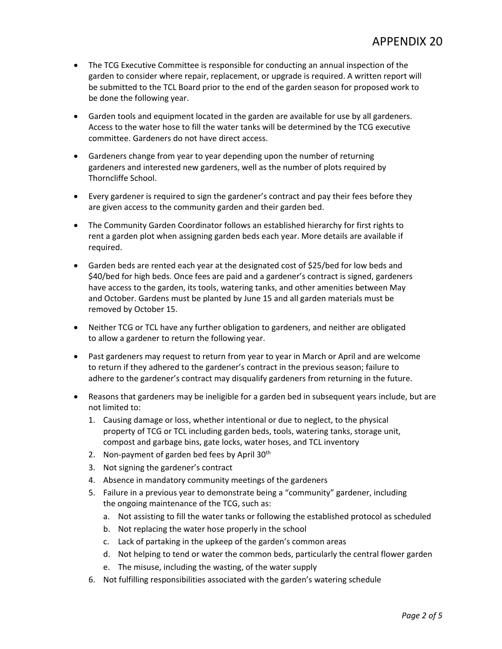- The TCG Executive Committee is responsible for conducting an annual inspection of the garden to consider where repair, replacement, or upgrade is required. A written report will be submitted to the TCL Board prior to the end of the garden season for proposed work to be done the following year.
- Garden tools and equipment located in the garden are available for use by all gardeners. Access to the water hose to fill the water tanks will be determined by the TCG executive committee. Gardeners do not have direct access.
- Gardeners change from year to year depending upon the number of returning gardeners and interested new gardeners, well as the number of plots required by Thorncliffe School.
- Every gardener is required to sign the gardener's contract and pay their fees before they are given access to the community garden and their garden bed.
- The Community Garden Coordinator follows an established hierarchy for first rights to rent a garden plot when assigning garden beds each year. More details are available if required.
- Garden beds are rented each year at the designated cost of \$25/bed for low beds and \$40/bed for high beds. Once fees are paid and a gardener's contract is signed, gardeners have access to the garden, its tools, watering tanks, and other amenities between May and October. Gardens must be planted by June 15 and all garden materials must be removed by October 15.
- Neither TCG or TCL have any further obligation to gardeners, and neither are obligated to allow a gardener to return the following year.
- Past gardeners may request to return from year to year in March or April and are welcome to return if they adhered to the gardener's contract in the previous season; failure to adhere to the gardener's contract may disqualify gardeners from returning in the future.
- Reasons that gardeners may be ineligible for a garden bed in subsequent years include, but are not limited to:
	- 1. Causing damage or loss, whether intentional or due to neglect, to the physical property of TCG or TCL including garden beds, tools, watering tanks, storage unit, compost and garbage bins, gate locks, water hoses, and TCL inventory
	- 2. Non-payment of garden bed fees by April 30<sup>th</sup>
	- 3. Not signing the gardener's contract
	- 4. Absence in mandatory community meetings of the gardeners
	- 5. Failure in a previous year to demonstrate being a "community" gardener, including the ongoing maintenance of the TCG, such as:
		- a. Not assisting to fill the water tanks or following the established protocol as scheduled
		- b. Not replacing the water hose properly in the school
		- c. Lack of partaking in the upkeep of the garden's common areas
		- d. Not helping to tend or water the common beds, particularly the central flower garden
		- e. The misuse, including the wasting, of the water supply
	- 6. Not fulfilling responsibilities associated with the garden's watering schedule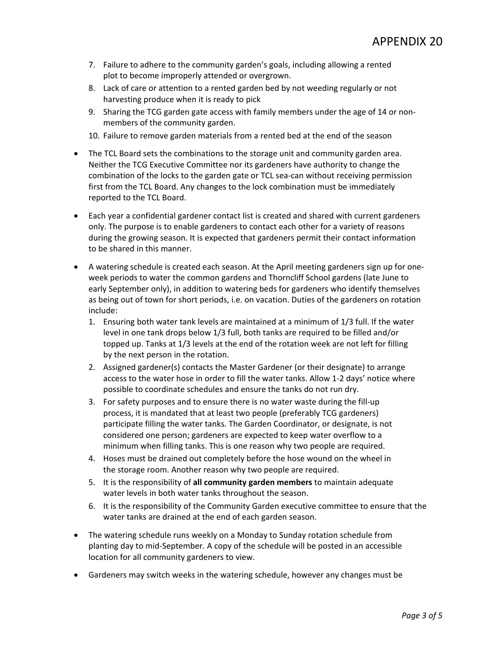- 7. Failure to adhere to the community garden's goals, including allowing a rented plot to become improperly attended or overgrown.
- 8. Lack of care or attention to a rented garden bed by not weeding regularly or not harvesting produce when it is ready to pick
- 9. Sharing the TCG garden gate access with family members under the age of 14 or nonmembers of the community garden.
- 10. Failure to remove garden materials from a rented bed at the end of the season
- The TCL Board sets the combinations to the storage unit and community garden area. Neither the TCG Executive Committee nor its gardeners have authority to change the combination of the locks to the garden gate or TCL sea-can without receiving permission first from the TCL Board. Any changes to the lock combination must be immediately reported to the TCL Board.
- Each year a confidential gardener contact list is created and shared with current gardeners only. The purpose is to enable gardeners to contact each other for a variety of reasons during the growing season. It is expected that gardeners permit their contact information to be shared in this manner.
- A watering schedule is created each season. At the April meeting gardeners sign up for oneweek periods to water the common gardens and Thorncliff School gardens (late June to early September only), in addition to watering beds for gardeners who identify themselves as being out of town for short periods, i.e. on vacation. Duties of the gardeners on rotation include:
	- 1. Ensuring both water tank levels are maintained at a minimum of 1/3 full. If the water level in one tank drops below 1/3 full, both tanks are required to be filled and/or topped up. Tanks at 1/3 levels at the end of the rotation week are not left for filling by the next person in the rotation.
	- 2. Assigned gardener(s) contacts the Master Gardener (or their designate) to arrange access to the water hose in order to fill the water tanks. Allow 1-2 days' notice where possible to coordinate schedules and ensure the tanks do not run dry.
	- 3. For safety purposes and to ensure there is no water waste during the fill-up process, it is mandated that at least two people (preferably TCG gardeners) participate filling the water tanks. The Garden Coordinator, or designate, is not considered one person; gardeners are expected to keep water overflow to a minimum when filling tanks. This is one reason why two people are required.
	- 4. Hoses must be drained out completely before the hose wound on the wheel in the storage room. Another reason why two people are required.
	- 5. It is the responsibility of **all community garden members** to maintain adequate water levels in both water tanks throughout the season.
	- 6. It is the responsibility of the Community Garden executive committee to ensure that the water tanks are drained at the end of each garden season.
- The watering schedule runs weekly on a Monday to Sunday rotation schedule from planting day to mid-September. A copy of the schedule will be posted in an accessible location for all community gardeners to view.
- Gardeners may switch weeks in the watering schedule, however any changes must be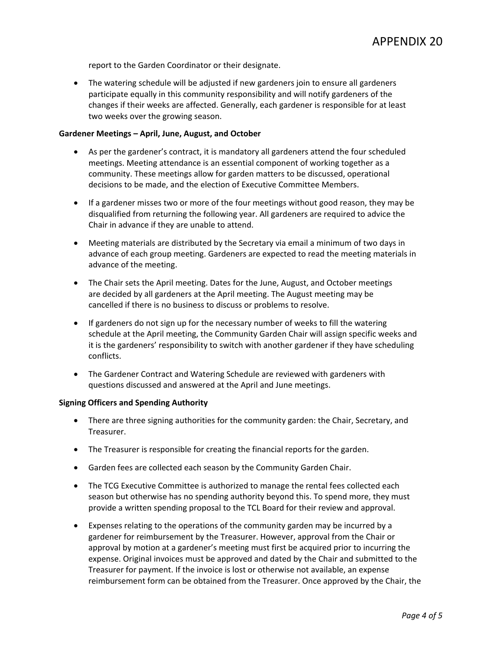report to the Garden Coordinator or their designate.

• The watering schedule will be adjusted if new gardeners join to ensure all gardeners participate equally in this community responsibility and will notify gardeners of the changes if their weeks are affected. Generally, each gardener is responsible for at least two weeks over the growing season.

## **Gardener Meetings – April, June, August, and October**

- As per the gardener's contract, it is mandatory all gardeners attend the four scheduled meetings. Meeting attendance is an essential component of working together as a community. These meetings allow for garden matters to be discussed, operational decisions to be made, and the election of Executive Committee Members.
- If a gardener misses two or more of the four meetings without good reason, they may be disqualified from returning the following year. All gardeners are required to advice the Chair in advance if they are unable to attend.
- Meeting materials are distributed by the Secretary via email a minimum of two days in advance of each group meeting. Gardeners are expected to read the meeting materials in advance of the meeting.
- The Chair sets the April meeting. Dates for the June, August, and October meetings are decided by all gardeners at the April meeting. The August meeting may be cancelled if there is no business to discuss or problems to resolve.
- If gardeners do not sign up for the necessary number of weeks to fill the watering schedule at the April meeting, the Community Garden Chair will assign specific weeks and it is the gardeners' responsibility to switch with another gardener if they have scheduling conflicts.
- The Gardener Contract and Watering Schedule are reviewed with gardeners with questions discussed and answered at the April and June meetings.

## **Signing Officers and Spending Authority**

- There are three signing authorities for the community garden: the Chair, Secretary, and Treasurer.
- The Treasurer is responsible for creating the financial reports for the garden.
- Garden fees are collected each season by the Community Garden Chair.
- The TCG Executive Committee is authorized to manage the rental fees collected each season but otherwise has no spending authority beyond this. To spend more, they must provide a written spending proposal to the TCL Board for their review and approval.
- Expenses relating to the operations of the community garden may be incurred by a gardener for reimbursement by the Treasurer. However, approval from the Chair or approval by motion at a gardener's meeting must first be acquired prior to incurring the expense. Original invoices must be approved and dated by the Chair and submitted to the Treasurer for payment. If the invoice is lost or otherwise not available, an expense reimbursement form can be obtained from the Treasurer. Once approved by the Chair, the